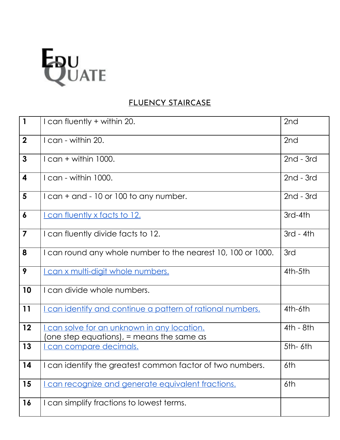

## FLUENCY STAIRCASE

| $\overline{1}$          | I can fluently + within 20.                                                                    | 2nd             |
|-------------------------|------------------------------------------------------------------------------------------------|-----------------|
| $\overline{2}$          | I can - within 20.                                                                             | 2 <sub>nd</sub> |
| $\mathbf{3}$            | $l$ can + within 1000.                                                                         | $2nd - 3rd$     |
| $\overline{\mathbf{4}}$ | I can - within 1000.                                                                           | $2nd - 3rd$     |
| $5\phantom{1}$          | I can + and - 10 or 100 to any number.                                                         | $2nd - 3rd$     |
| $\boldsymbol{6}$        | <u>I can fluently x facts to 12.</u>                                                           | 3rd-4th         |
| $\overline{\mathbf{7}}$ | I can fluently divide facts to 12.                                                             | $3rd - 4th$     |
| 8                       | I can round any whole number to the nearest 10, 100 or 1000.                                   | 3rd             |
| 9                       | I can x multi-digit whole numbers.                                                             | 4th-5th         |
| 10                      | I can divide whole numbers.                                                                    |                 |
| 11                      | <u>I can identify and continue a pattern of rational numbers.</u>                              | 4th-6th         |
| 12                      | <u>I can solve for an unknown in any location.</u><br>one step equations), = means the same as | $4th - 8th$     |
| 13                      | can compare decimals.                                                                          | $5th-6th$       |
| 14                      | I can identify the greatest common factor of two numbers.                                      | 6th             |
| 15                      | can recognize and generate equivalent fractions.                                               | 6th             |
| 16                      | I can simplify fractions to lowest terms.                                                      |                 |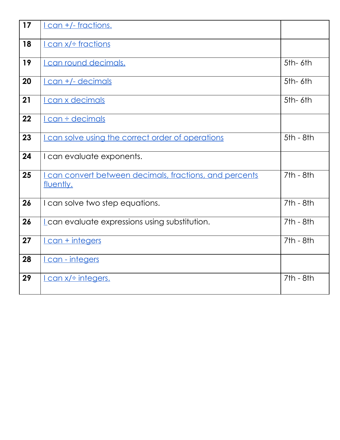| 17 | <u>I can +/- fractions.</u>                                          |             |
|----|----------------------------------------------------------------------|-------------|
| 18 | $l$ can $x$ /÷ fractions                                             |             |
| 19 | <u>I can round decimals.</u>                                         | 5th-6th     |
| 20 | <u>I can +/- decimals</u>                                            | $5th-6th$   |
| 21 | I can x decimals                                                     | $5th-6th$   |
| 22 | I can ÷ decimals                                                     |             |
| 23 | I can solve using the correct order of operations                    | $5th - 8th$ |
| 24 | I can evaluate exponents.                                            |             |
| 25 | I can convert between decimals, fractions, and percents<br>fluently. | $7th - 8th$ |
| 26 | I can solve two step equations.                                      | $7th - 8th$ |
| 26 | Lcan evaluate expressions using substitution.                        | $7th - 8th$ |
| 27 | <u>I can + integers</u>                                              | $7th - 8th$ |
| 28 | <u>I can - integers</u>                                              |             |
| 29 | <u>I can x/÷ integers.</u>                                           | $7th - 8th$ |